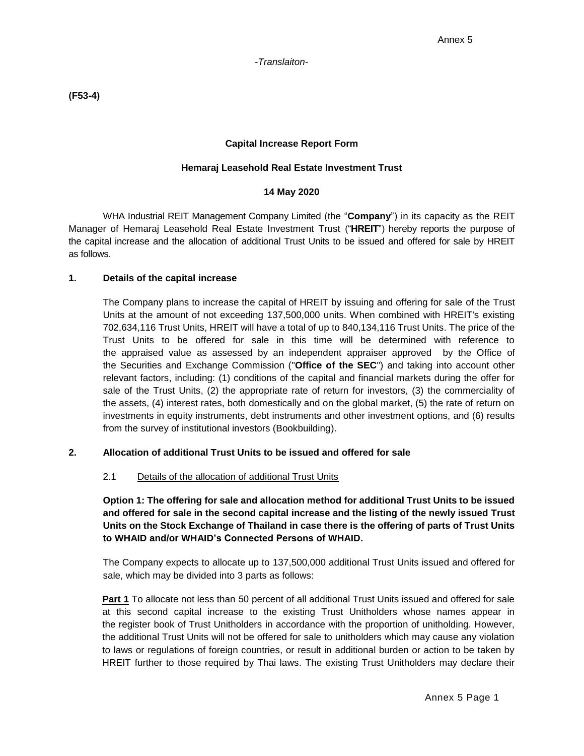**(F53-4)**

### **Capital Increase Report Form**

### **Hemaraj Leasehold Real Estate Investment Trust**

#### **14 May 2020**

WHA Industrial REIT Management Company Limited (the "**Company**") in its capacity as the REIT Manager of Hemaraj Leasehold Real Estate Investment Trust ("**HREIT**") hereby reports the purpose of the capital increase and the allocation of additional Trust Units to be issued and offered for sale by HREIT as follows.

### **1. Details of the capital increase**

The Company plans to increase the capital of HREIT by issuing and offering for sale of the Trust Units at the amount of not exceeding 137,500,000 units. When combined with HREIT's existing 702,634,116 Trust Units, HREIT will have a total of up to 840,134,116 Trust Units. The price of the Trust Units to be offered for sale in this time will be determined with reference to the appraised value as assessed by an independent appraiser approved by the Office of the Securities and Exchange Commission ("**Office of the SEC**") and taking into account other relevant factors, including: (1) conditions of the capital and financial markets during the offer for sale of the Trust Units, (2) the appropriate rate of return for investors, (3) the commerciality of the assets, (4) interest rates, both domestically and on the global market, (5) the rate of return on investments in equity instruments, debt instruments and other investment options, and (6) results from the survey of institutional investors (Bookbuilding).

## **2. Allocation of additional Trust Units to be issued and offered for sale**

#### 2.1 Details of the allocation of additional Trust Units

**Option 1: The offering for sale and allocation method for additional Trust Units to be issued and offered for sale in the second capital increase and the listing of the newly issued Trust Units on the Stock Exchange of Thailand in case there is the offering of parts of Trust Units to WHAID and/or WHAID's Connected Persons of WHAID.**

The Company expects to allocate up to 137,500,000 additional Trust Units issued and offered for sale, which may be divided into 3 parts as follows:

**Part 1** To allocate not less than 50 percent of all additional Trust Units issued and offered for sale at this second capital increase to the existing Trust Unitholders whose names appear in the register book of Trust Unitholders in accordance with the proportion of unitholding. However, the additional Trust Units will not be offered for sale to unitholders which may cause any violation to laws or regulations of foreign countries, or result in additional burden or action to be taken by HREIT further to those required by Thai laws. The existing Trust Unitholders may declare their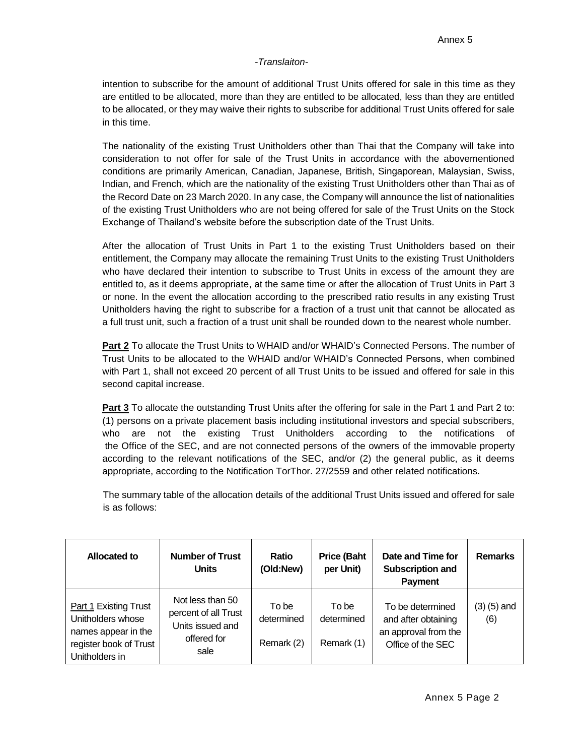intention to subscribe for the amount of additional Trust Units offered for sale in this time as they are entitled to be allocated, more than they are entitled to be allocated, less than they are entitled to be allocated, or they may waive their rights to subscribe for additional Trust Units offered for sale in this time.

The nationality of the existing Trust Unitholders other than Thai that the Company will take into consideration to not offer for sale of the Trust Units in accordance with the abovementioned conditions are primarily American, Canadian, Japanese, British, Singaporean, Malaysian, Swiss, Indian, and French, which are the nationality of the existing Trust Unitholders other than Thai as of the Record Date on 23 March 2020. In any case, the Company will announce the list of nationalities of the existing Trust Unitholders who are not being offered for sale of the Trust Units on the Stock Exchange of Thailand's website before the subscription date of the Trust Units.

After the allocation of Trust Units in Part 1 to the existing Trust Unitholders based on their entitlement, the Company may allocate the remaining Trust Units to the existing Trust Unitholders who have declared their intention to subscribe to Trust Units in excess of the amount they are entitled to, as it deems appropriate, at the same time or after the allocation of Trust Units in Part 3 or none. In the event the allocation according to the prescribed ratio results in any existing Trust Unitholders having the right to subscribe for a fraction of a trust unit that cannot be allocated as a full trust unit, such a fraction of a trust unit shall be rounded down to the nearest whole number.

**Part 2** To allocate the Trust Units to WHAID and/or WHAID's Connected Persons. The number of Trust Units to be allocated to the WHAID and/or WHAID's Connected Persons, when combined with Part 1, shall not exceed 20 percent of all Trust Units to be issued and offered for sale in this second capital increase.

**Part 3** To allocate the outstanding Trust Units after the offering for sale in the Part 1 and Part 2 to: (1) persons on a private placement basis including institutional investors and special subscribers, who are not the existing Trust Unitholders according to the notifications of the Office of the SEC, and are not connected persons of the owners of the immovable property according to the relevant notifications of the SEC, and/or (2) the general public, as it deems appropriate, according to the Notification TorThor. 27/2559 and other related notifications.

The summary table of the allocation details of the additional Trust Units issued and offered for sale is as follows:

| Allocated to                                                                                                  | <b>Number of Trust</b><br><b>Units</b>                                              | Ratio<br>(Old:New)                | <b>Price (Baht</b><br>per Unit)   | Date and Time for<br><b>Subscription and</b><br><b>Payment</b>                       | <b>Remarks</b>         |
|---------------------------------------------------------------------------------------------------------------|-------------------------------------------------------------------------------------|-----------------------------------|-----------------------------------|--------------------------------------------------------------------------------------|------------------------|
| Part 1 Existing Trust<br>Unitholders whose<br>names appear in the<br>register book of Trust<br>Unitholders in | Not less than 50<br>percent of all Trust<br>Units issued and<br>offered for<br>sale | To be<br>determined<br>Remark (2) | To be<br>determined<br>Remark (1) | To be determined<br>and after obtaining<br>an approval from the<br>Office of the SEC | $(3)$ $(5)$ and<br>(6) |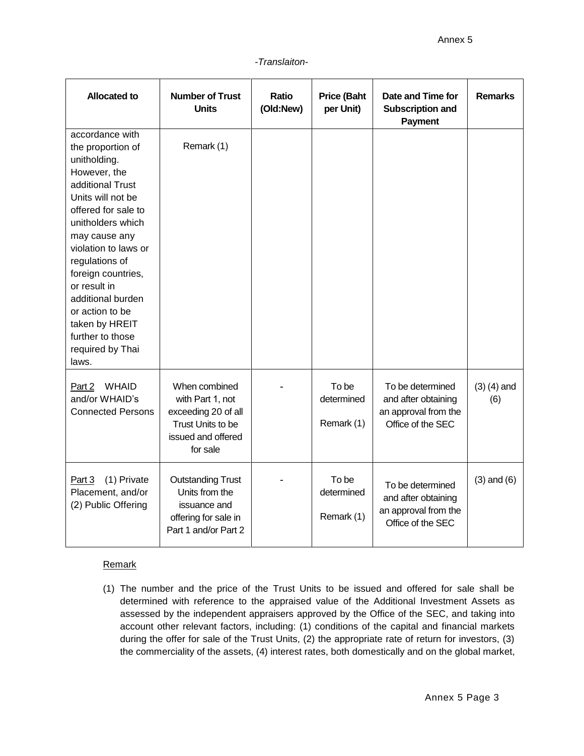| <b>Allocated to</b>                                                                                                                                                                                                                                                                                                                                                   | <b>Number of Trust</b><br><b>Units</b>                                                                          | <b>Ratio</b><br>(Old:New) | <b>Price (Baht</b><br>per Unit)   | Date and Time for<br>Subscription and<br><b>Payment</b>                              | <b>Remarks</b>         |
|-----------------------------------------------------------------------------------------------------------------------------------------------------------------------------------------------------------------------------------------------------------------------------------------------------------------------------------------------------------------------|-----------------------------------------------------------------------------------------------------------------|---------------------------|-----------------------------------|--------------------------------------------------------------------------------------|------------------------|
| accordance with<br>the proportion of<br>unitholding.<br>However, the<br>additional Trust<br>Units will not be<br>offered for sale to<br>unitholders which<br>may cause any<br>violation to laws or<br>regulations of<br>foreign countries,<br>or result in<br>additional burden<br>or action to be<br>taken by HREIT<br>further to those<br>required by Thai<br>laws. | Remark (1)                                                                                                      |                           |                                   |                                                                                      |                        |
| <b>WHAID</b><br>Part 2<br>and/or WHAID's<br><b>Connected Persons</b>                                                                                                                                                                                                                                                                                                  | When combined<br>with Part 1, not<br>exceeding 20 of all<br>Trust Units to be<br>issued and offered<br>for sale |                           | To be<br>determined<br>Remark (1) | To be determined<br>and after obtaining<br>an approval from the<br>Office of the SEC | $(3)$ $(4)$ and<br>(6) |
| (1) Private<br>Part 3<br>Placement, and/or<br>(2) Public Offering                                                                                                                                                                                                                                                                                                     | <b>Outstanding Trust</b><br>Units from the<br>issuance and<br>offering for sale in<br>Part 1 and/or Part 2      |                           | To be<br>determined<br>Remark (1) | To be determined<br>and after obtaining<br>an approval from the<br>Office of the SEC | $(3)$ and $(6)$        |

## **Remark**

(1) The number and the price of the Trust Units to be issued and offered for sale shall be determined with reference to the appraised value of the Additional Investment Assets as assessed by the independent appraisers approved by the Office of the SEC, and taking into account other relevant factors, including: (1) conditions of the capital and financial markets during the offer for sale of the Trust Units, (2) the appropriate rate of return for investors, (3) the commerciality of the assets, (4) interest rates, both domestically and on the global market,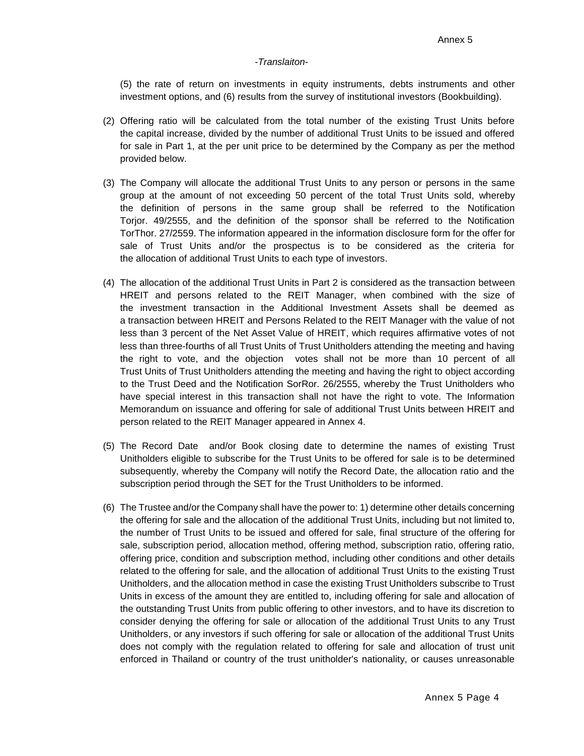(5) the rate of return on investments in equity instruments, debts instruments and other investment options, and (6) results from the survey of institutional investors (Bookbuilding).

- (2) Offering ratio will be calculated from the total number of the existing Trust Units before the capital increase, divided by the number of additional Trust Units to be issued and offered for sale in Part 1, at the per unit price to be determined by the Company as per the method provided below.
- (3) The Company will allocate the additional Trust Units to any person or persons in the same group at the amount of not exceeding 50 percent of the total Trust Units sold, whereby the definition of persons in the same group shall be referred to the Notification Torjor. 49/2555, and the definition of the sponsor shall be referred to the Notification TorThor. 27/2559. The information appeared in the information disclosure form for the offer for sale of Trust Units and/or the prospectus is to be considered as the criteria for the allocation of additional Trust Units to each type of investors.
- (4) The allocation of the additional Trust Units in Part 2 is considered as the transaction between HREIT and persons related to the REIT Manager, when combined with the size of the investment transaction in the Additional Investment Assets shall be deemed as a transaction between HREIT and Persons Related to the REIT Manager with the value of not less than 3 percent of the Net Asset Value of HREIT, which requires affirmative votes of not less than three-fourths of all Trust Units of Trust Unitholders attending the meeting and having the right to vote, and the objection votes shall not be more than 10 percent of all Trust Units of Trust Unitholders attending the meeting and having the right to object according to the Trust Deed and the Notification SorRor. 26/2555, whereby the Trust Unitholders who have special interest in this transaction shall not have the right to vote. The Information Memorandum on issuance and offering for sale of additional Trust Units between HREIT and person related to the REIT Manager appeared in Annex 4.
- (5) The Record Date and/or Book closing date to determine the names of existing Trust Unitholders eligible to subscribe for the Trust Units to be offered for sale is to be determined subsequently, whereby the Company will notify the Record Date, the allocation ratio and the subscription period through the SET for the Trust Unitholders to be informed.
- (6) The Trustee and/or the Company shall have the power to: 1) determine other details concerning the offering for sale and the allocation of the additional Trust Units, including but not limited to, the number of Trust Units to be issued and offered for sale, final structure of the offering for sale, subscription period, allocation method, offering method, subscription ratio, offering ratio, offering price, condition and subscription method, including other conditions and other details related to the offering for sale, and the allocation of additional Trust Units to the existing Trust Unitholders, and the allocation method in case the existing Trust Unitholders subscribe to Trust Units in excess of the amount they are entitled to, including offering for sale and allocation of the outstanding Trust Units from public offering to other investors, and to have its discretion to consider denying the offering for sale or allocation of the additional Trust Units to any Trust Unitholders, or any investors if such offering for sale or allocation of the additional Trust Units does not comply with the regulation related to offering for sale and allocation of trust unit enforced in Thailand or country of the trust unitholder's nationality, or causes unreasonable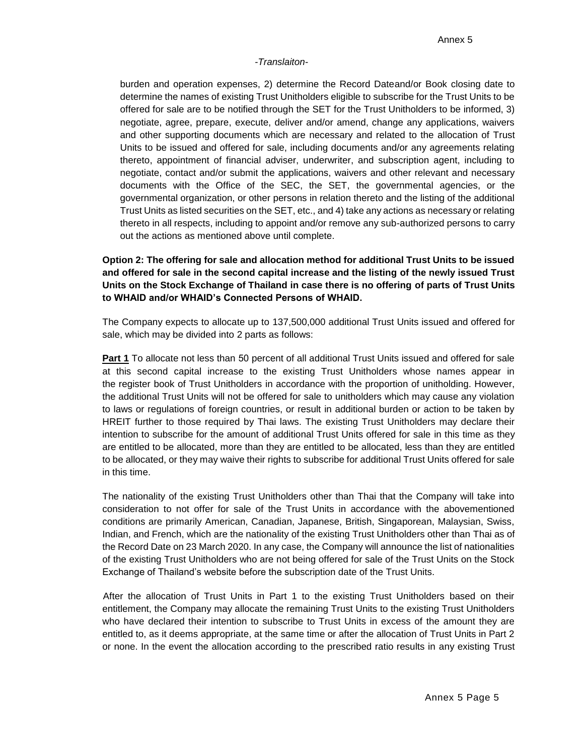burden and operation expenses, 2) determine the Record Dateand/or Book closing date to determine the names of existing Trust Unitholders eligible to subscribe for the Trust Units to be offered for sale are to be notified through the SET for the Trust Unitholders to be informed, 3) negotiate, agree, prepare, execute, deliver and/or amend, change any applications, waivers and other supporting documents which are necessary and related to the allocation of Trust Units to be issued and offered for sale, including documents and/or any agreements relating thereto, appointment of financial adviser, underwriter, and subscription agent, including to negotiate, contact and/or submit the applications, waivers and other relevant and necessary documents with the Office of the SEC, the SET, the governmental agencies, or the governmental organization, or other persons in relation thereto and the listing of the additional Trust Units as listed securities on the SET, etc., and 4) take any actions as necessary or relating thereto in all respects, including to appoint and/or remove any sub-authorized persons to carry out the actions as mentioned above until complete.

# **Option 2: The offering for sale and allocation method for additional Trust Units to be issued and offered for sale in the second capital increase and the listing of the newly issued Trust Units on the Stock Exchange of Thailand in case there is no offering of parts of Trust Units to WHAID and/or WHAID's Connected Persons of WHAID.**

The Company expects to allocate up to 137,500,000 additional Trust Units issued and offered for sale, which may be divided into 2 parts as follows:

**Part 1** To allocate not less than 50 percent of all additional Trust Units issued and offered for sale at this second capital increase to the existing Trust Unitholders whose names appear in the register book of Trust Unitholders in accordance with the proportion of unitholding. However, the additional Trust Units will not be offered for sale to unitholders which may cause any violation to laws or regulations of foreign countries, or result in additional burden or action to be taken by HREIT further to those required by Thai laws. The existing Trust Unitholders may declare their intention to subscribe for the amount of additional Trust Units offered for sale in this time as they are entitled to be allocated, more than they are entitled to be allocated, less than they are entitled to be allocated, or they may waive their rights to subscribe for additional Trust Units offered for sale in this time.

The nationality of the existing Trust Unitholders other than Thai that the Company will take into consideration to not offer for sale of the Trust Units in accordance with the abovementioned conditions are primarily American, Canadian, Japanese, British, Singaporean, Malaysian, Swiss, Indian, and French, which are the nationality of the existing Trust Unitholders other than Thai as of the Record Date on 23 March 2020. In any case, the Company will announce the list of nationalities of the existing Trust Unitholders who are not being offered for sale of the Trust Units on the Stock Exchange of Thailand's website before the subscription date of the Trust Units.

After the allocation of Trust Units in Part 1 to the existing Trust Unitholders based on their entitlement, the Company may allocate the remaining Trust Units to the existing Trust Unitholders who have declared their intention to subscribe to Trust Units in excess of the amount they are entitled to, as it deems appropriate, at the same time or after the allocation of Trust Units in Part 2 or none. In the event the allocation according to the prescribed ratio results in any existing Trust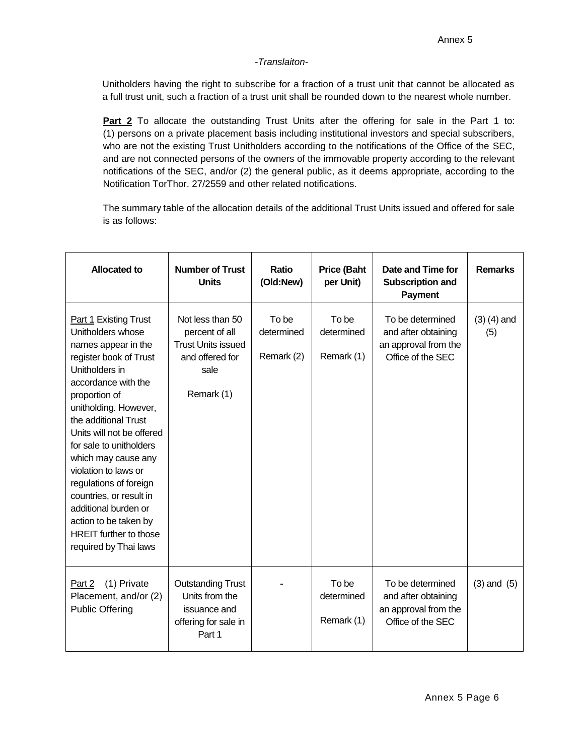Unitholders having the right to subscribe for a fraction of a trust unit that cannot be allocated as a full trust unit, such a fraction of a trust unit shall be rounded down to the nearest whole number.

**Part 2** To allocate the outstanding Trust Units after the offering for sale in the Part 1 to: (1) persons on a private placement basis including institutional investors and special subscribers, who are not the existing Trust Unitholders according to the notifications of the Office of the SEC, and are not connected persons of the owners of the immovable property according to the relevant notifications of the SEC, and/or (2) the general public, as it deems appropriate, according to the Notification TorThor. 27/2559 and other related notifications.

The summary table of the allocation details of the additional Trust Units issued and offered for sale is as follows:

| Allocated to                                                                                                                                                                                                                                                                                                                                                                                                                                                                         | <b>Number of Trust</b><br><b>Units</b>                                                                   | Ratio<br>(Old:New)                | <b>Price (Baht</b><br>per Unit)   | Date and Time for<br><b>Subscription and</b><br><b>Payment</b>                       | <b>Remarks</b>         |
|--------------------------------------------------------------------------------------------------------------------------------------------------------------------------------------------------------------------------------------------------------------------------------------------------------------------------------------------------------------------------------------------------------------------------------------------------------------------------------------|----------------------------------------------------------------------------------------------------------|-----------------------------------|-----------------------------------|--------------------------------------------------------------------------------------|------------------------|
| <b>Part 1 Existing Trust</b><br>Unitholders whose<br>names appear in the<br>register book of Trust<br>Unitholders in<br>accordance with the<br>proportion of<br>unitholding. However,<br>the additional Trust<br>Units will not be offered<br>for sale to unitholders<br>which may cause any<br>violation to laws or<br>regulations of foreign<br>countries, or result in<br>additional burden or<br>action to be taken by<br><b>HREIT</b> further to those<br>required by Thai laws | Not less than 50<br>percent of all<br><b>Trust Units issued</b><br>and offered for<br>sale<br>Remark (1) | To be<br>determined<br>Remark (2) | To be<br>determined<br>Remark (1) | To be determined<br>and after obtaining<br>an approval from the<br>Office of the SEC | $(3)$ $(4)$ and<br>(5) |
| (1) Private<br>Part 2<br>Placement, and/or (2)<br><b>Public Offering</b>                                                                                                                                                                                                                                                                                                                                                                                                             | <b>Outstanding Trust</b><br>Units from the<br>issuance and<br>offering for sale in<br>Part 1             |                                   | To be<br>determined<br>Remark (1) | To be determined<br>and after obtaining<br>an approval from the<br>Office of the SEC | $(3)$ and $(5)$        |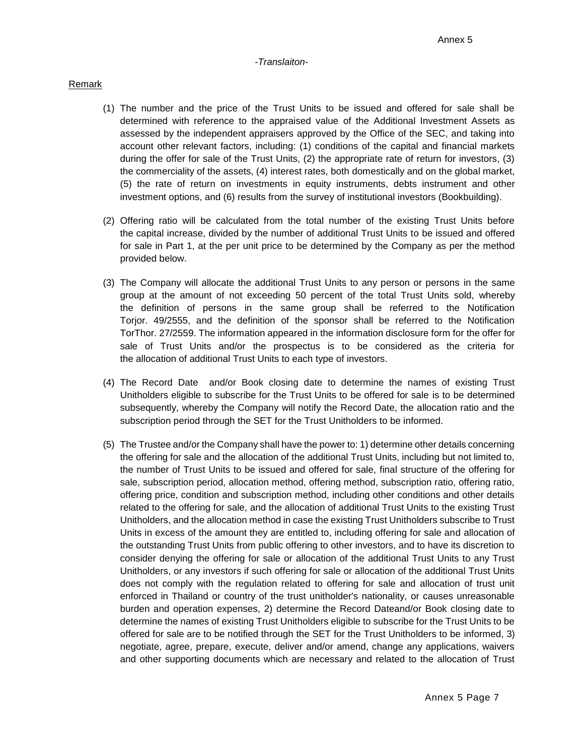## Remark

- (1) The number and the price of the Trust Units to be issued and offered for sale shall be determined with reference to the appraised value of the Additional Investment Assets as assessed by the independent appraisers approved by the Office of the SEC, and taking into account other relevant factors, including: (1) conditions of the capital and financial markets during the offer for sale of the Trust Units, (2) the appropriate rate of return for investors, (3) the commerciality of the assets, (4) interest rates, both domestically and on the global market, (5) the rate of return on investments in equity instruments, debts instrument and other investment options, and (6) results from the survey of institutional investors (Bookbuilding).
- (2) Offering ratio will be calculated from the total number of the existing Trust Units before the capital increase, divided by the number of additional Trust Units to be issued and offered for sale in Part 1, at the per unit price to be determined by the Company as per the method provided below.
- (3) The Company will allocate the additional Trust Units to any person or persons in the same group at the amount of not exceeding 50 percent of the total Trust Units sold, whereby the definition of persons in the same group shall be referred to the Notification Torjor. 49/2555, and the definition of the sponsor shall be referred to the Notification TorThor. 27/2559. The information appeared in the information disclosure form for the offer for sale of Trust Units and/or the prospectus is to be considered as the criteria for the allocation of additional Trust Units to each type of investors.
- (4) The Record Date and/or Book closing date to determine the names of existing Trust Unitholders eligible to subscribe for the Trust Units to be offered for sale is to be determined subsequently, whereby the Company will notify the Record Date, the allocation ratio and the subscription period through the SET for the Trust Unitholders to be informed.
- (5) The Trustee and/or the Company shall have the power to: 1) determine other details concerning the offering for sale and the allocation of the additional Trust Units, including but not limited to, the number of Trust Units to be issued and offered for sale, final structure of the offering for sale, subscription period, allocation method, offering method, subscription ratio, offering ratio, offering price, condition and subscription method, including other conditions and other details related to the offering for sale, and the allocation of additional Trust Units to the existing Trust Unitholders, and the allocation method in case the existing Trust Unitholders subscribe to Trust Units in excess of the amount they are entitled to, including offering for sale and allocation of the outstanding Trust Units from public offering to other investors, and to have its discretion to consider denying the offering for sale or allocation of the additional Trust Units to any Trust Unitholders, or any investors if such offering for sale or allocation of the additional Trust Units does not comply with the regulation related to offering for sale and allocation of trust unit enforced in Thailand or country of the trust unitholder's nationality, or causes unreasonable burden and operation expenses, 2) determine the Record Dateand/or Book closing date to determine the names of existing Trust Unitholders eligible to subscribe for the Trust Units to be offered for sale are to be notified through the SET for the Trust Unitholders to be informed, 3) negotiate, agree, prepare, execute, deliver and/or amend, change any applications, waivers and other supporting documents which are necessary and related to the allocation of Trust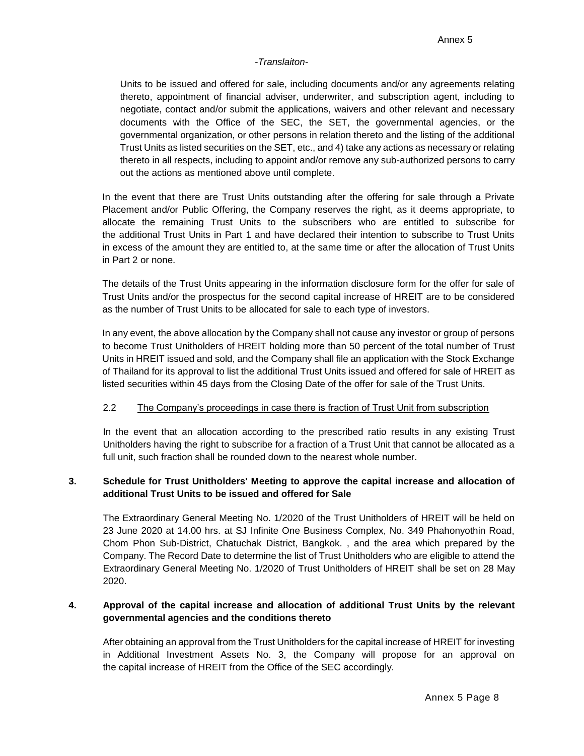Units to be issued and offered for sale, including documents and/or any agreements relating thereto, appointment of financial adviser, underwriter, and subscription agent, including to negotiate, contact and/or submit the applications, waivers and other relevant and necessary documents with the Office of the SEC, the SET, the governmental agencies, or the governmental organization, or other persons in relation thereto and the listing of the additional Trust Units as listed securities on the SET, etc., and 4) take any actions as necessary or relating thereto in all respects, including to appoint and/or remove any sub-authorized persons to carry out the actions as mentioned above until complete.

In the event that there are Trust Units outstanding after the offering for sale through a Private Placement and/or Public Offering, the Company reserves the right, as it deems appropriate, to allocate the remaining Trust Units to the subscribers who are entitled to subscribe for the additional Trust Units in Part 1 and have declared their intention to subscribe to Trust Units in excess of the amount they are entitled to, at the same time or after the allocation of Trust Units in Part 2 or none.

The details of the Trust Units appearing in the information disclosure form for the offer for sale of Trust Units and/or the prospectus for the second capital increase of HREIT are to be considered as the number of Trust Units to be allocated for sale to each type of investors.

In any event, the above allocation by the Company shall not cause any investor or group of persons to become Trust Unitholders of HREIT holding more than 50 percent of the total number of Trust Units in HREIT issued and sold, and the Company shall file an application with the Stock Exchange of Thailand for its approval to list the additional Trust Units issued and offered for sale of HREIT as listed securities within 45 days from the Closing Date of the offer for sale of the Trust Units.

## 2.2 The Company's proceedings in case there is fraction of Trust Unit from subscription

In the event that an allocation according to the prescribed ratio results in any existing Trust Unitholders having the right to subscribe for a fraction of a Trust Unit that cannot be allocated as a full unit, such fraction shall be rounded down to the nearest whole number.

## **3. Schedule for Trust Unitholders' Meeting to approve the capital increase and allocation of additional Trust Units to be issued and offered for Sale**

The Extraordinary General Meeting No. 1/2020 of the Trust Unitholders of HREIT will be held on 23 June 2020 at 14.00 hrs. at SJ Infinite One Business Complex, No. 349 Phahonyothin Road, Chom Phon Sub-District, Chatuchak District, Bangkok. , and the area which prepared by the Company. The Record Date to determine the list of Trust Unitholders who are eligible to attend the Extraordinary General Meeting No. 1/2020 of Trust Unitholders of HREIT shall be set on 28 May 2020.

## **4. Approval of the capital increase and allocation of additional Trust Units by the relevant governmental agencies and the conditions thereto**

After obtaining an approval from the Trust Unitholders for the capital increase of HREIT for investing in Additional Investment Assets No. 3, the Company will propose for an approval on the capital increase of HREIT from the Office of the SEC accordingly.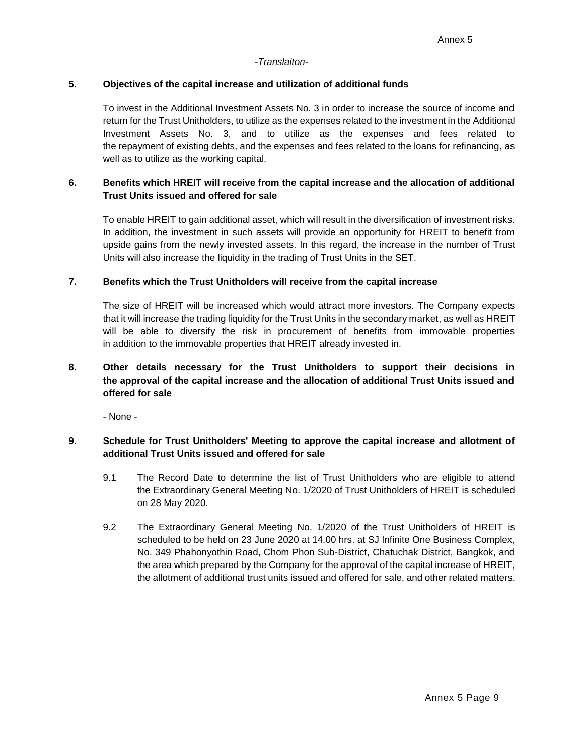#### **5. Objectives of the capital increase and utilization of additional funds**

To invest in the Additional Investment Assets No. 3 in order to increase the source of income and return for the Trust Unitholders, to utilize as the expenses related to the investment in the Additional Investment Assets No. 3, and to utilize as the expenses and fees related to the repayment of existing debts, and the expenses and fees related to the loans for refinancing, as well as to utilize as the working capital.

## **6. Benefits which HREIT will receive from the capital increase and the allocation of additional Trust Units issued and offered for sale**

To enable HREIT to gain additional asset, which will result in the diversification of investment risks. In addition, the investment in such assets will provide an opportunity for HREIT to benefit from upside gains from the newly invested assets. In this regard, the increase in the number of Trust Units will also increase the liquidity in the trading of Trust Units in the SET.

#### **7. Benefits which the Trust Unitholders will receive from the capital increase**

The size of HREIT will be increased which would attract more investors. The Company expects that it will increase the trading liquidity for the Trust Units in the secondary market, as well as HREIT will be able to diversify the risk in procurement of benefits from immovable properties in addition to the immovable properties that HREIT already invested in.

# **8. Other details necessary for the Trust Unitholders to support their decisions in the approval of the capital increase and the allocation of additional Trust Units issued and offered for sale**

- None -

## **9. Schedule for Trust Unitholders' Meeting to approve the capital increase and allotment of additional Trust Units issued and offered for sale**

- 9.1 The Record Date to determine the list of Trust Unitholders who are eligible to attend the Extraordinary General Meeting No. 1/2020 of Trust Unitholders of HREIT is scheduled on 28 May 2020.
- 9.2 The Extraordinary General Meeting No. 1/2020 of the Trust Unitholders of HREIT is scheduled to be held on 23 June 2020 at 14.00 hrs. at SJ Infinite One Business Complex, No. 349 Phahonyothin Road, Chom Phon Sub-District, Chatuchak District, Bangkok, and the area which prepared by the Company for the approval of the capital increase of HREIT, the allotment of additional trust units issued and offered for sale, and other related matters.